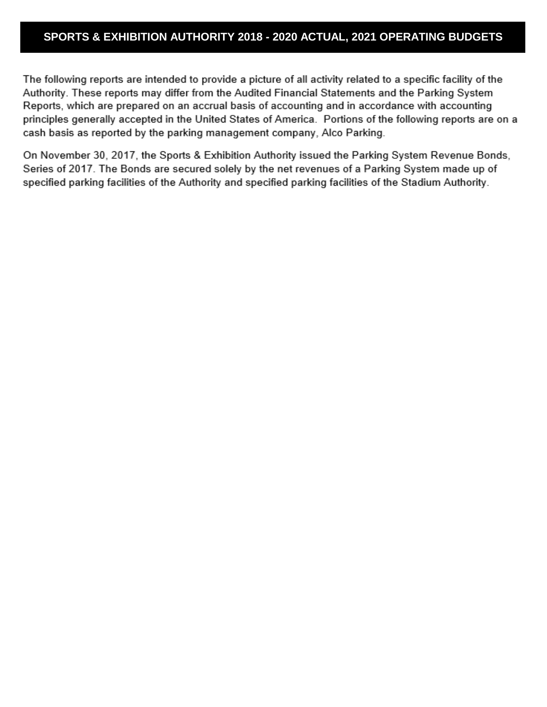#### **SPORTS & EXHIBITION AUTHORITY 2018 - 2020 ACTUAL, 2021 OPERATING BUDGETS**

The following reports are intended to provide a picture of all activity related to a specific facility of the Authority. These reports may differ from the Audited Financial Statements and the Parking System Reports, which are prepared on an accrual basis of accounting and in accordance with accounting principles generally accepted in the United States of America. Portions of the following reports are on a cash basis as reported by the parking management company, Alco Parking.

On November 30, 2017, the Sports & Exhibition Authority issued the Parking System Revenue Bonds, Series of 2017. The Bonds are secured solely by the net revenues of a Parking System made up of specified parking facilities of the Authority and specified parking facilities of the Stadium Authority.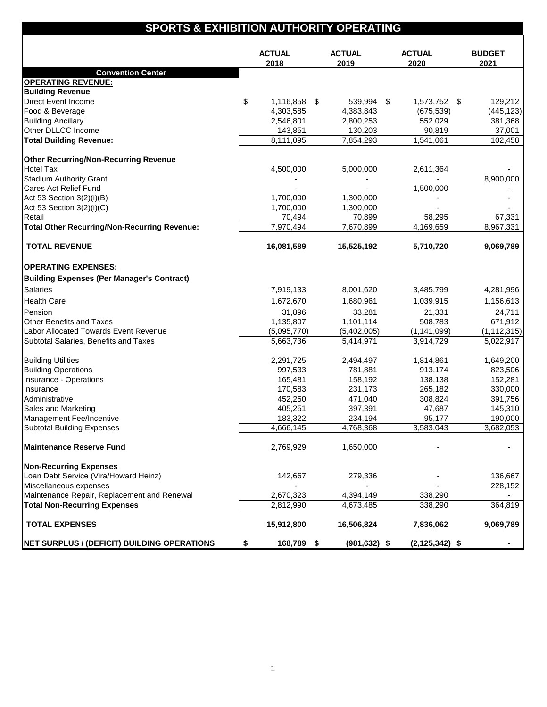# **SPORTS & EXHIBITION AUTHORITY OPERATING**

|                                                     | <b>ACTUAL</b><br>2018 | <b>ACTUAL</b><br>2019 | <b>ACTUAL</b><br>2020 | <b>BUDGET</b><br>2021 |
|-----------------------------------------------------|-----------------------|-----------------------|-----------------------|-----------------------|
| <b>Convention Center</b>                            |                       |                       |                       |                       |
| <b>OPERATING REVENUE:</b>                           |                       |                       |                       |                       |
| <b>Building Revenue</b>                             |                       |                       |                       |                       |
| <b>Direct Event Income</b>                          | \$<br>1,116,858 \$    | 539,994 \$            | 1,573,752 \$          | 129,212               |
| Food & Beverage                                     | 4,303,585             | 4,383,843             | (675, 539)            | (445, 123)            |
| <b>Building Ancillary</b>                           | 2,546,801             | 2,800,253             | 552,029               | 381,368               |
| Other DLLCC Income                                  | 143,851               | 130,203               | 90,819                | 37,001                |
| <b>Total Building Revenue:</b>                      | 8,111,095             | 7,854,293             | 1,541,061             | 102,458               |
| <b>Other Recurring/Non-Recurring Revenue</b>        |                       |                       |                       |                       |
| <b>Hotel Tax</b>                                    | 4,500,000             | 5,000,000             | 2,611,364             |                       |
| <b>Stadium Authority Grant</b>                      |                       |                       |                       | 8,900,000             |
| Cares Act Relief Fund                               |                       |                       | 1,500,000             |                       |
| Act 53 Section 3(2)(i)(B)                           | 1,700,000             | 1,300,000             |                       |                       |
| Act 53 Section 3(2)(i)(C)                           | 1,700,000             | 1,300,000             |                       |                       |
| Retail                                              | 70,494                | 70,899                | 58,295                | 67,331                |
| <b>Total Other Recurring/Non-Recurring Revenue:</b> | 7,970,494             | 7,670,899             | 4,169,659             | 8,967,331             |
| <b>TOTAL REVENUE</b>                                | 16,081,589            | 15,525,192            | 5,710,720             | 9,069,789             |
| <b>OPERATING EXPENSES:</b>                          |                       |                       |                       |                       |
| <b>Building Expenses (Per Manager's Contract)</b>   |                       |                       |                       |                       |
| <b>Salaries</b>                                     | 7,919,133             | 8,001,620             | 3,485,799             | 4,281,996             |
| <b>Health Care</b>                                  | 1,672,670             | 1,680,961             | 1,039,915             | 1,156,613             |
|                                                     |                       |                       |                       |                       |
| Pension                                             | 31,896                | 33,281                | 21,331                | 24,711                |
| Other Benefits and Taxes                            | 1,135,807             | 1,101,114             | 508,783               | 671,912               |
| Labor Allocated Towards Event Revenue               | (5,095,770)           | (5,402,005)           | (1, 141, 099)         | (1, 112, 315)         |
| Subtotal Salaries, Benefits and Taxes               | 5,663,736             | 5,414,971             | 3,914,729             | 5,022,917             |
| <b>Building Utilities</b>                           | 2,291,725             | 2,494,497             | 1,814,861             | 1,649,200             |
| <b>Building Operations</b>                          | 997,533               | 781,881               | 913,174               | 823,506               |
| Insurance - Operations                              | 165,481               | 158,192               | 138,138               | 152,281               |
| Insurance                                           | 170,583               | 231,173               | 265,182               | 330,000               |
| Administrative                                      | 452,250               | 471,040               | 308,824               | 391,756               |
| Sales and Marketing                                 | 405,251               | 397,391               | 47,687                | 145,310               |
| Management Fee/Incentive                            | 183,322               | 234,194               | 95,177                | 190,000               |
| <b>Subtotal Building Expenses</b>                   | 4,666,145             | 4,768,368             | 3,583,043             | 3,682,053             |
| <b>Maintenance Reserve Fund</b>                     | 2,769,929             | 1,650,000             |                       |                       |
| <b>Non-Recurring Expenses</b>                       |                       |                       |                       |                       |
| Loan Debt Service (Vira/Howard Heinz)               | 142,667               | 279,336               |                       | 136,667               |
| Miscellaneous expenses                              |                       |                       |                       | 228,152               |
| Maintenance Repair, Replacement and Renewal         | 2,670,323             | 4,394,149             | 338,290               |                       |
| <b>Total Non-Recurring Expenses</b>                 | 2,812,990             | 4,673,485             | 338,290               | 364,819               |
| <b>TOTAL EXPENSES</b>                               | 15,912,800            | 16,506,824            | 7,836,062             | 9,069,789             |
| <b>NET SURPLUS / (DEFICIT) BUILDING OPERATIONS</b>  | \$<br>168,789 \$      | $(981, 632)$ \$       | $(2, 125, 342)$ \$    |                       |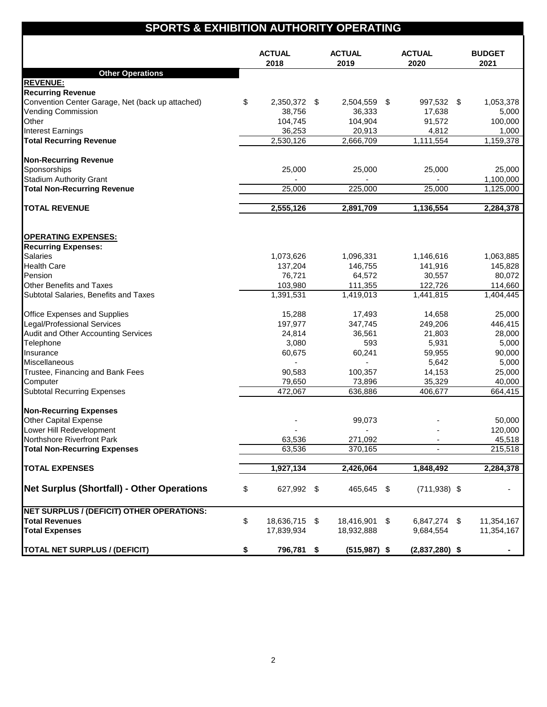### **SPORTS & EXHIBITION AUTHORITY OPERATING**

|                                                                   | <b>ACTUAL</b><br>2018 | <b>ACTUAL</b><br>2019 | <b>ACTUAL</b><br>2020    | <b>BUDGET</b><br>2021 |
|-------------------------------------------------------------------|-----------------------|-----------------------|--------------------------|-----------------------|
| <b>Other Operations</b>                                           |                       |                       |                          |                       |
| <b>REVENUE:</b>                                                   |                       |                       |                          |                       |
| <b>Recurring Revenue</b>                                          |                       |                       |                          |                       |
| Convention Center Garage, Net (back up attached)                  | \$<br>2,350,372 \$    | 2,504,559 \$          | 997,532 \$               | 1,053,378             |
| <b>Vending Commission</b>                                         | 38,756                | 36,333                | 17,638                   | 5,000                 |
| Other                                                             | 104,745               | 104,904               | 91,572                   | 100,000               |
| Interest Earnings                                                 | 36,253                | 20,913                | 4,812                    | 1,000                 |
| <b>Total Recurring Revenue</b>                                    | 2,530,126             | 2,666,709             | 1,111,554                | 1,159,378             |
| <b>Non-Recurring Revenue</b>                                      |                       |                       |                          |                       |
| Sponsorships                                                      | 25,000                | 25,000                | 25,000                   | 25,000                |
| <b>Stadium Authority Grant</b>                                    |                       |                       | $\overline{\phantom{a}}$ | 1,100,000             |
| <b>Total Non-Recurring Revenue</b>                                | 25,000                | 225,000               | 25,000                   | 1,125,000             |
|                                                                   |                       |                       |                          |                       |
| <b>TOTAL REVENUE</b>                                              | 2,555,126             | 2,891,709             | 1,136,554                | 2,284,378             |
|                                                                   |                       |                       |                          |                       |
| <b>OPERATING EXPENSES:</b><br><b>Recurring Expenses:</b>          |                       |                       |                          |                       |
| <b>Salaries</b>                                                   |                       |                       | 1,146,616                |                       |
| <b>Health Care</b>                                                | 1,073,626<br>137,204  | 1,096,331<br>146,755  | 141,916                  | 1,063,885<br>145,828  |
| Pension                                                           | 76,721                | 64,572                | 30,557                   | 80,072                |
| Other Benefits and Taxes                                          | 103,980               | 111,355               | 122,726                  | 114,660               |
| Subtotal Salaries, Benefits and Taxes                             | 1,391,531             | 1,419,013             | 1,441,815                | 1,404,445             |
|                                                                   |                       |                       |                          |                       |
| Office Expenses and Supplies                                      | 15,288                | 17,493                | 14,658                   | 25,000                |
| Legal/Professional Services                                       | 197,977               | 347,745               | 249,206                  | 446,415               |
| Audit and Other Accounting Services                               | 24,814                | 36,561                | 21,803                   | 28,000                |
| Telephone                                                         | 3,080                 | 593                   | 5,931                    | 5,000                 |
| Insurance                                                         | 60,675                | 60,241                | 59,955                   | 90,000                |
| Miscellaneous                                                     |                       |                       | 5,642                    | 5,000                 |
| Trustee, Financing and Bank Fees                                  | 90,583                | 100,357               | 14,153                   | 25,000                |
| Computer                                                          | 79,650                | 73,896                | 35,329                   | 40,000                |
| <b>Subtotal Recurring Expenses</b>                                | 472,067               | 636,886               | 406,677                  | 664,415               |
| <b>Non-Recurring Expenses</b>                                     |                       |                       |                          |                       |
| <b>Other Capital Expense</b>                                      |                       | 99,073                |                          | 50,000                |
| Lower Hill Redevelopment                                          |                       |                       |                          |                       |
|                                                                   |                       |                       |                          | 120,000<br>45.518     |
| Northshore Rivertront Park<br><b>Total Non-Recurring Expenses</b> | 63,536<br>63,536      | 271,092<br>370,165    |                          | 215,518               |
|                                                                   |                       |                       |                          |                       |
| <b>TOTAL EXPENSES</b>                                             | 1,927,134             | 2,426,064             | 1,848,492                | 2,284,378             |
| <b>Net Surplus (Shortfall) - Other Operations</b>                 | \$<br>627,992 \$      | 465,645 \$            | $(711, 938)$ \$          |                       |
| NET SURPLUS / (DEFICIT) OTHER OPERATIONS:                         |                       |                       |                          |                       |
| <b>Total Revenues</b>                                             | \$<br>18,636,715 \$   | 18,416,901 \$         | 6,847,274 \$             | 11,354,167            |
| <b>Total Expenses</b>                                             | 17,839,934            | 18,932,888            | 9,684,554                | 11,354,167            |
|                                                                   |                       |                       |                          |                       |
| <b>TOTAL NET SURPLUS / (DEFICIT)</b>                              | \$<br>796,781 \$      | $(515, 987)$ \$       | $(2,837,280)$ \$         |                       |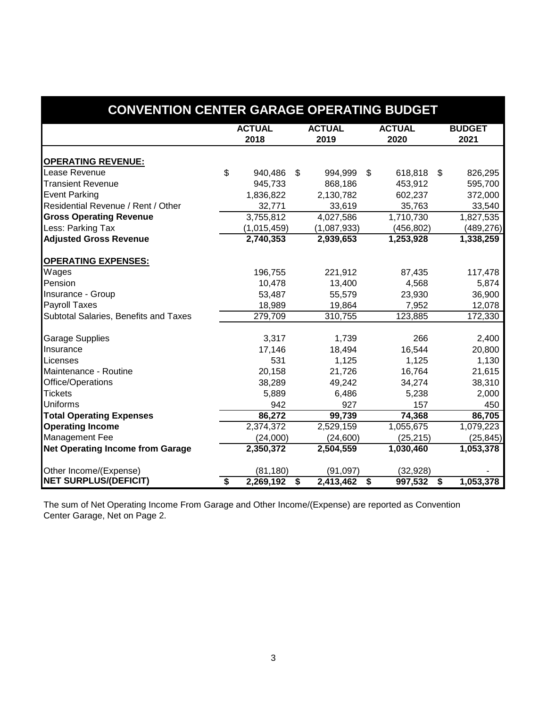| <b>CONVENTION CENTER GARAGE OPERATING BUDGET</b> |               |             |    |               |    |               |    |               |  |  |  |
|--------------------------------------------------|---------------|-------------|----|---------------|----|---------------|----|---------------|--|--|--|
|                                                  | <b>ACTUAL</b> |             |    | <b>ACTUAL</b> |    | <b>ACTUAL</b> |    | <b>BUDGET</b> |  |  |  |
|                                                  |               | 2018        |    | 2019          |    | 2020          |    | 2021          |  |  |  |
| <b>OPERATING REVENUE:</b>                        |               |             |    |               |    |               |    |               |  |  |  |
| Lease Revenue                                    | \$            | 940,486     | \$ | 994,999       | \$ | 618,818       | \$ | 826,295       |  |  |  |
| <b>Transient Revenue</b>                         |               | 945,733     |    | 868,186       |    | 453,912       |    | 595,700       |  |  |  |
| <b>Event Parking</b>                             |               | 1,836,822   |    | 2,130,782     |    | 602,237       |    | 372,000       |  |  |  |
| Residential Revenue / Rent / Other               |               | 32,771      |    | 33,619        |    | 35,763        |    | 33,540        |  |  |  |
| <b>Gross Operating Revenue</b>                   |               | 3,755,812   |    | 4,027,586     |    | 1,710,730     |    | 1,827,535     |  |  |  |
| Less: Parking Tax                                |               | (1,015,459) |    | (1,087,933)   |    | (456, 802)    |    | (489, 276)    |  |  |  |
| <b>Adjusted Gross Revenue</b>                    |               | 2,740,353   |    | 2,939,653     |    | 1,253,928     |    | 1,338,259     |  |  |  |
| <b>OPERATING EXPENSES:</b>                       |               |             |    |               |    |               |    |               |  |  |  |
| Wages                                            |               | 196,755     |    | 221,912       |    | 87,435        |    | 117,478       |  |  |  |
| Pension                                          |               | 10,478      |    | 13,400        |    | 4,568         |    | 5,874         |  |  |  |
| Insurance - Group                                |               | 53,487      |    | 55,579        |    | 23,930        |    | 36,900        |  |  |  |
| <b>Payroll Taxes</b>                             |               | 18,989      |    | 19,864        |    | 7,952         |    | 12,078        |  |  |  |
| Subtotal Salaries, Benefits and Taxes            |               | 279,709     |    | 310,755       |    | 123,885       |    | 172,330       |  |  |  |
| <b>Garage Supplies</b>                           |               | 3,317       |    | 1,739         |    | 266           |    | 2,400         |  |  |  |
| Insurance                                        |               | 17,146      |    | 18,494        |    | 16,544        |    | 20,800        |  |  |  |
| Licenses                                         |               | 531         |    | 1,125         |    | 1,125         |    | 1,130         |  |  |  |
| Maintenance - Routine                            |               | 20,158      |    | 21,726        |    | 16,764        |    | 21,615        |  |  |  |
| Office/Operations                                |               | 38,289      |    | 49,242        |    | 34,274        |    | 38,310        |  |  |  |
| <b>Tickets</b>                                   |               | 5,889       |    | 6,486         |    | 5,238         |    | 2,000         |  |  |  |
| <b>Uniforms</b>                                  |               | 942         |    | 927           |    | 157           |    | 450           |  |  |  |
| <b>Total Operating Expenses</b>                  |               | 86,272      |    | 99,739        |    | 74,368        |    | 86,705        |  |  |  |
| <b>Operating Income</b>                          |               | 2,374,372   |    | 2,529,159     |    | 1,055,675     |    | 1,079,223     |  |  |  |
| Management Fee                                   |               | (24,000)    |    | (24,600)      |    | (25, 215)     |    | (25, 845)     |  |  |  |
| <b>Net Operating Income from Garage</b>          |               | 2,350,372   |    | 2,504,559     |    | 1,030,460     |    | 1,053,378     |  |  |  |
| Other Income/(Expense)                           |               | (81, 180)   |    | (91,097)      |    | (32, 928)     |    |               |  |  |  |
| <b>NET SURPLUS/(DEFICIT)</b>                     | \$            | 2,269,192   | \$ | 2,413,462     | \$ | 997,532       | \$ | 1,053,378     |  |  |  |

Center Garage, Net on Page 2. The sum of Net Operating Income From Garage and Other Income/(Expense) are reported as Convention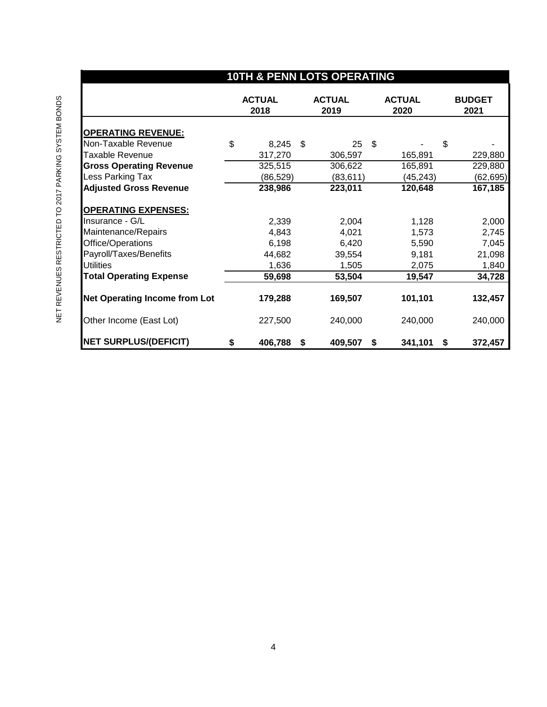| <b>10TH &amp; PENN LOTS OPERATING</b> |    |                       |    |                       |    |                       |                       |  |  |  |  |
|---------------------------------------|----|-----------------------|----|-----------------------|----|-----------------------|-----------------------|--|--|--|--|
|                                       |    | <b>ACTUAL</b><br>2018 |    | <b>ACTUAL</b><br>2019 |    | <b>ACTUAL</b><br>2020 | <b>BUDGET</b><br>2021 |  |  |  |  |
| <b>OPERATING REVENUE:</b>             |    |                       |    |                       |    |                       |                       |  |  |  |  |
| Non-Taxable Revenue                   | \$ | 8,245                 | \$ | 25                    | \$ | \$                    |                       |  |  |  |  |
| <b>Taxable Revenue</b>                |    | 317,270               |    | 306,597               |    | 165,891               | 229,880               |  |  |  |  |
| <b>Gross Operating Revenue</b>        |    | 325,515               |    | 306,622               |    | 165,891               | 229,880               |  |  |  |  |
| Less Parking Tax                      |    | (86, 529)             |    | (83, 611)             |    | (45, 243)             | (62, 695)             |  |  |  |  |
| <b>Adjusted Gross Revenue</b>         |    | 238,986               |    | 223,011               |    | 120,648               | 167,185               |  |  |  |  |
| <b>OPERATING EXPENSES:</b>            |    |                       |    |                       |    |                       |                       |  |  |  |  |
| Insurance - G/L                       |    | 2,339                 |    | 2,004                 |    | 1,128                 | 2,000                 |  |  |  |  |
| Maintenance/Repairs                   |    | 4,843                 |    | 4,021                 |    | 1,573                 | 2,745                 |  |  |  |  |
| Office/Operations                     |    | 6,198                 |    | 6,420                 |    | 5,590                 | 7,045                 |  |  |  |  |
| Payroll/Taxes/Benefits                |    | 44,682                |    | 39,554                |    | 9,181                 | 21,098                |  |  |  |  |
| <b>Utilities</b>                      |    | 1,636                 |    | 1,505                 |    | 2,075                 | 1,840                 |  |  |  |  |
| <b>Total Operating Expense</b>        |    | 59,698                |    | 53,504                |    | 19,547                | 34,728                |  |  |  |  |
| <b>Net Operating Income from Lot</b>  |    | 179,288               |    | 169,507               |    | 101,101               | 132,457               |  |  |  |  |
| Other Income (East Lot)               |    | 227,500               |    | 240,000               |    | 240,000               | 240,000               |  |  |  |  |
| <b>NET SURPLUS/(DEFICIT)</b>          | \$ | 406,788               | S. | 409,507               | \$ | 341,101<br>\$         | 372,457               |  |  |  |  |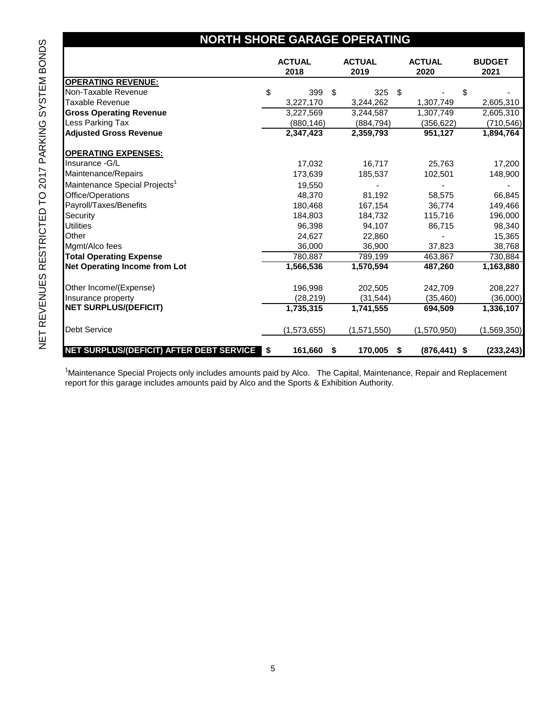## **NORTH SHORE GARAGE OPERATING**

|                                           |      | <b>ACTUAL</b><br>2018 | <b>ACTUAL</b><br>2019 |    | <b>ACTUAL</b><br>2020 |   | <b>BUDGET</b><br>2021 |
|-------------------------------------------|------|-----------------------|-----------------------|----|-----------------------|---|-----------------------|
| <b>OPERATING REVENUE:</b>                 |      |                       |                       |    |                       |   |                       |
| Non-Taxable Revenue                       | \$   | 399                   | \$<br>325             | \$ |                       | S |                       |
| Taxable Revenue                           |      | 3,227,170             | 3,244,262             |    | 1,307,749             |   | 2,605,310             |
| <b>Gross Operating Revenue</b>            |      | 3,227,569             | 3,244,587             |    | 1,307,749             |   | 2,605,310             |
| Less Parking Tax                          |      | (880, 146)            | (884, 794)            |    | (356, 622)            |   | (710, 546)            |
| <b>Adjusted Gross Revenue</b>             |      | 2,347,423             | 2,359,793             |    | 951,127               |   | 1,894,764             |
| <b>OPERATING EXPENSES:</b>                |      |                       |                       |    |                       |   |                       |
| Insurance - G/L                           |      | 17,032                | 16,717                |    | 25,763                |   | 17,200                |
| Maintenance/Repairs                       |      | 173,639               | 185,537               |    | 102,501               |   | 148,900               |
| Maintenance Special Projects <sup>1</sup> |      | 19,550                |                       |    |                       |   |                       |
| Office/Operations                         |      | 48,370                | 81,192                |    | 58,575                |   | 66,845                |
| Payroll/Taxes/Benefits                    |      | 180.468               | 167,154               |    | 36,774                |   | 149,466               |
| Security                                  |      | 184,803               | 184,732               |    | 115,716               |   | 196,000               |
| <b>Utilities</b>                          |      | 96.398                | 94,107                |    | 86,715                |   | 98,340                |
| Other                                     |      | 24,627                | 22,860                |    |                       |   | 15,365                |
| Mgmt/Alco fees                            |      | 36,000                | 36,900                |    | 37,823                |   | 38,768                |
| <b>Total Operating Expense</b>            |      | 780,887               | 789,199               |    | 463,867               |   | 730,884               |
| <b>Net Operating Income from Lot</b>      |      | 1,566,536             | 1,570,594             |    | 487,260               |   | 1,163,880             |
| Other Income/(Expense)                    |      | 196,998               | 202,505               |    | 242,709               |   | 208,227               |
| Insurance property                        |      | (28, 219)             | (31, 544)             |    | (35, 460)             |   | (36,000)              |
| <b>NET SURPLUS/(DEFICIT)</b>              |      | 1,735,315             | 1,741,555             |    | 694,509               |   | 1,336,107             |
| <b>Debt Service</b>                       |      | (1,573,655)           | (1,571,550)           |    | (1,570,950)           |   | (1,569,350)           |
| NET SURPLUS/(DEFICIT) AFTER DEBT SERVICE  | l \$ | 161,660               | \$<br>170,005         | S  | $(876, 441)$ \$       |   | (233, 243)            |

<sup>1</sup>Maintenance Special Projects only includes amounts paid by Alco. The Capital, Maintenance, Repair and Replacement report for this garage includes amounts paid by Alco and the Sports & Exhibition Authority.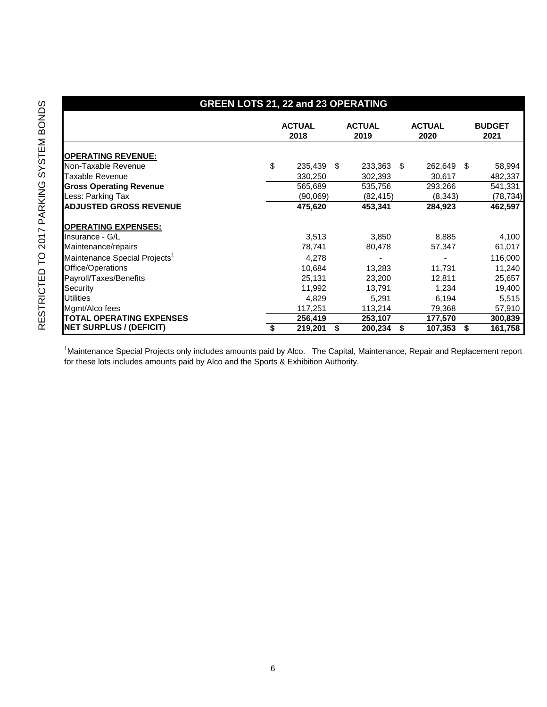| BONDS<br>2017 PARKING SYSTEM | <b>OPERATING</b><br>Non-Taxable<br>Taxable Reve<br><b>Gross Operat</b><br>Less: Parking<br><b>ADJUSTED G</b><br><b>OPERATING</b>                        |
|------------------------------|---------------------------------------------------------------------------------------------------------------------------------------------------------|
| RESTRICTED TO                | Insurance - G<br>Maintenance/<br>Maintenance &<br>Office/Operati<br>Payroll/Taxes<br>Security<br><b>Utilities</b><br>Mgmt/Alco fee<br><b>TOTAL OPEF</b> |
|                              | <b>NET SURPLL</b>                                                                                                                                       |

### **GREEN LOTS 21, 22 and 23 OPERATING**

|                                           | <b>ACTUAL</b><br>2018 | <b>ACTUAL</b><br>2019 |     | <b>ACTUAL</b><br>2020 |     | <b>BUDGET</b><br>2021 |
|-------------------------------------------|-----------------------|-----------------------|-----|-----------------------|-----|-----------------------|
| <b>OPERATING REVENUE:</b>                 |                       |                       |     |                       |     |                       |
| Non-Taxable Revenue                       | \$<br>235,439         | \$<br>233,363         | -\$ | 262,649               | -\$ | 58,994                |
| <b>Taxable Revenue</b>                    | 330,250               | 302,393               |     | 30,617                |     | 482,337               |
| <b>Gross Operating Revenue</b>            | 565,689               | 535,756               |     | 293,266               |     | 541,331               |
| Less: Parking Tax                         | (90,069)              | (82, 415)             |     | (8,343)               |     | (78, 734)             |
| <b>ADJUSTED GROSS REVENUE</b>             | 475,620               | 453,341               |     | 284,923               |     | 462,597               |
| <b>OPERATING EXPENSES:</b>                |                       |                       |     |                       |     |                       |
| Insurance - G/L                           | 3,513                 | 3,850                 |     | 8,885                 |     | 4,100                 |
| Maintenance/repairs                       | 78,741                | 80,478                |     | 57,347                |     | 61,017                |
| Maintenance Special Projects <sup>1</sup> | 4,278                 |                       |     |                       |     | 116,000               |
| Office/Operations                         | 10,684                | 13,283                |     | 11,731                |     | 11,240                |
| Payroll/Taxes/Benefits                    | 25,131                | 23,200                |     | 12,811                |     | 25,657                |
| Security                                  | 11,992                | 13,791                |     | 1,234                 |     | 19,400                |
| <b>Utilities</b>                          | 4,829                 | 5,291                 |     | 6,194                 |     | 5,515                 |
| Mgmt/Alco fees                            | 117,251               | 113,214               |     | 79,368                |     | 57,910                |
| <b>TOTAL OPERATING EXPENSES</b>           | 256,419               | 253,107               |     | 177,570               |     | 300,839               |
| <b>NET SURPLUS / (DEFICIT)</b>            | \$<br>219,201         | \$<br>200,234         | \$  | 107,353               | \$  | 161,758               |

<sup>1</sup>Maintenance Special Projects only includes amounts paid by Alco. The Capital, Maintenance, Repair and Replacement report for these lots includes amounts paid by Alco and the Sports & Exhibition Authority.